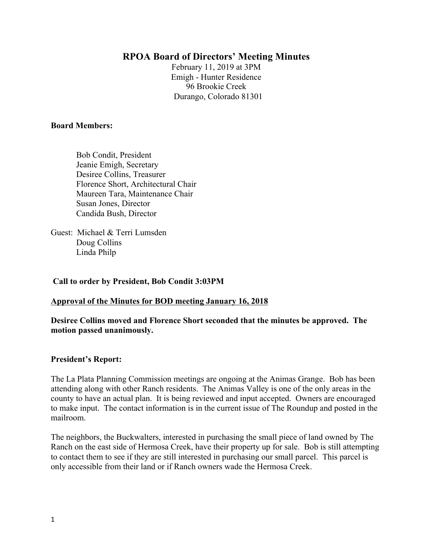# **RPOA Board of Directors' Meeting Minutes**

February 11, 2019 at 3PM Emigh - Hunter Residence 96 Brookie Creek Durango, Colorado 81301

#### **Board Members:**

 Bob Condit, President Jeanie Emigh, Secretary Desiree Collins, Treasurer Florence Short, Architectural Chair Maureen Tara, Maintenance Chair Susan Jones, Director Candida Bush, Director

Guest: Michael & Terri Lumsden Doug Collins Linda Philp

### **Call to order by President, Bob Condit 3:03PM**

### **Approval of the Minutes for BOD meeting January 16, 2018**

**Desiree Collins moved and Florence Short seconded that the minutes be approved. The motion passed unanimously.**

### **President's Report:**

The La Plata Planning Commission meetings are ongoing at the Animas Grange. Bob has been attending along with other Ranch residents. The Animas Valley is one of the only areas in the county to have an actual plan. It is being reviewed and input accepted. Owners are encouraged to make input. The contact information is in the current issue of The Roundup and posted in the mailroom.

The neighbors, the Buckwalters, interested in purchasing the small piece of land owned by The Ranch on the east side of Hermosa Creek, have their property up for sale. Bob is still attempting to contact them to see if they are still interested in purchasing our small parcel. This parcel is only accessible from their land or if Ranch owners wade the Hermosa Creek.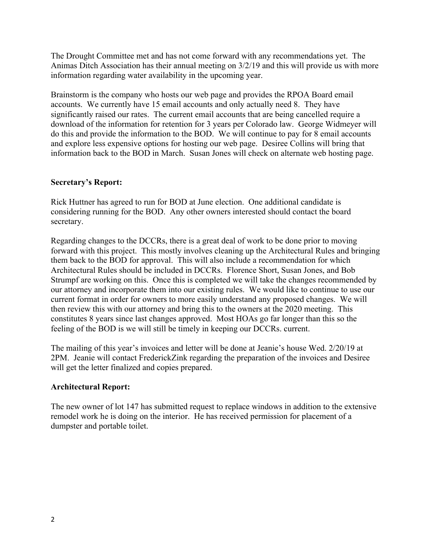The Drought Committee met and has not come forward with any recommendations yet. The Animas Ditch Association has their annual meeting on 3/2/19 and this will provide us with more information regarding water availability in the upcoming year.

Brainstorm is the company who hosts our web page and provides the RPOA Board email accounts. We currently have 15 email accounts and only actually need 8. They have significantly raised our rates. The current email accounts that are being cancelled require a download of the information for retention for 3 years per Colorado law. George Widmeyer will do this and provide the information to the BOD. We will continue to pay for 8 email accounts and explore less expensive options for hosting our web page. Desiree Collins will bring that information back to the BOD in March. Susan Jones will check on alternate web hosting page.

# **Secretary's Report:**

Rick Huttner has agreed to run for BOD at June election. One additional candidate is considering running for the BOD. Any other owners interested should contact the board secretary.

Regarding changes to the DCCRs, there is a great deal of work to be done prior to moving forward with this project. This mostly involves cleaning up the Architectural Rules and bringing them back to the BOD for approval. This will also include a recommendation for which Architectural Rules should be included in DCCRs. Florence Short, Susan Jones, and Bob Strumpf are working on this. Once this is completed we will take the changes recommended by our attorney and incorporate them into our existing rules. We would like to continue to use our current format in order for owners to more easily understand any proposed changes. We will then review this with our attorney and bring this to the owners at the 2020 meeting. This constitutes 8 years since last changes approved. Most HOAs go far longer than this so the feeling of the BOD is we will still be timely in keeping our DCCRs. current.

The mailing of this year's invoices and letter will be done at Jeanie's house Wed. 2/20/19 at 2PM. Jeanie will contact FrederickZink regarding the preparation of the invoices and Desiree will get the letter finalized and copies prepared.

### **Architectural Report:**

The new owner of lot 147 has submitted request to replace windows in addition to the extensive remodel work he is doing on the interior. He has received permission for placement of a dumpster and portable toilet.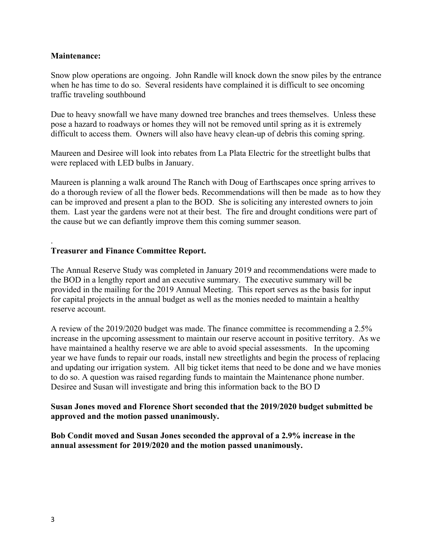### **Maintenance:**

Snow plow operations are ongoing. John Randle will knock down the snow piles by the entrance when he has time to do so. Several residents have complained it is difficult to see oncoming traffic traveling southbound

Due to heavy snowfall we have many downed tree branches and trees themselves. Unless these pose a hazard to roadways or homes they will not be removed until spring as it is extremely difficult to access them. Owners will also have heavy clean-up of debris this coming spring.

Maureen and Desiree will look into rebates from La Plata Electric for the streetlight bulbs that were replaced with LED bulbs in January.

Maureen is planning a walk around The Ranch with Doug of Earthscapes once spring arrives to do a thorough review of all the flower beds. Recommendations will then be made as to how they can be improved and present a plan to the BOD. She is soliciting any interested owners to join them. Last year the gardens were not at their best. The fire and drought conditions were part of the cause but we can defiantly improve them this coming summer season.

## **Treasurer and Finance Committee Report.**

The Annual Reserve Study was completed in January 2019 and recommendations were made to the BOD in a lengthy report and an executive summary. The executive summary will be provided in the mailing for the 2019 Annual Meeting. This report serves as the basis for input for capital projects in the annual budget as well as the monies needed to maintain a healthy reserve account.

A review of the 2019/2020 budget was made. The finance committee is recommending a 2.5% increase in the upcoming assessment to maintain our reserve account in positive territory. As we have maintained a healthy reserve we are able to avoid special assessments. In the upcoming year we have funds to repair our roads, install new streetlights and begin the process of replacing and updating our irrigation system. All big ticket items that need to be done and we have monies to do so. A question was raised regarding funds to maintain the Maintenance phone number. Desiree and Susan will investigate and bring this information back to the BO D

## **Susan Jones moved and Florence Short seconded that the 2019/2020 budget submitted be approved and the motion passed unanimously.**

**Bob Condit moved and Susan Jones seconded the approval of a 2.9% increase in the annual assessment for 2019/2020 and the motion passed unanimously.** 

.